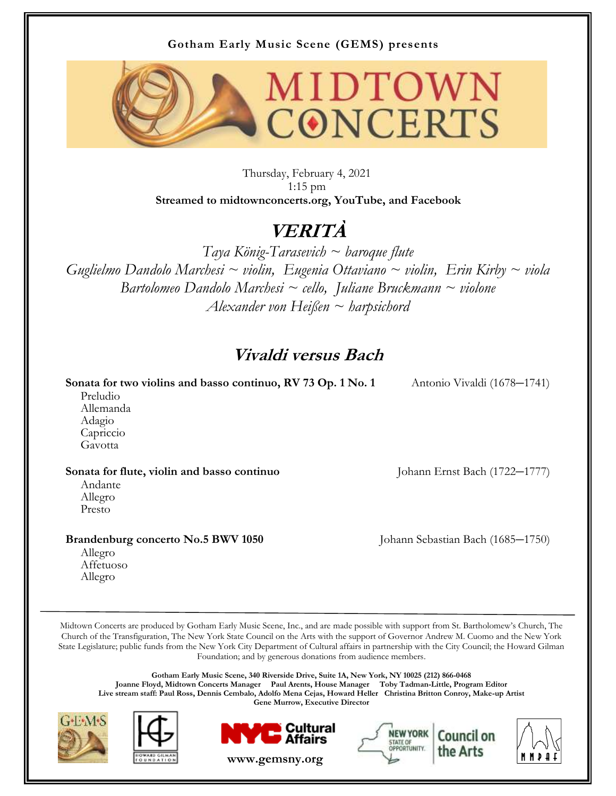#### **Gotham Early Music Scene (GEMS) presents**



Thursday, February 4, 2021 1:15 pm **Streamed to midtownconcerts.org, YouTube, and Facebook**

# **VERITÀ**

*Taya König-Tarasevich ~ baroque flute Guglielmo Dandolo Marchesi ~ violin, Eugenia Ottaviano ~ violin, Erin Kirby ~ viola Bartolomeo Dandolo Marchesi ~ cello, Juliane Bruckmann ~ violone Alexander von Heißen ~ harpsichord*

### **Vivaldi versus Bach**

**Sonata for two violins and basso continuo, RV 73 Op. 1 No. 1** Antonio Vivaldi (1678–1741)

 Preludio Allemanda Adagio Capriccio Gavotta

#### **Sonata for flute, violin and basso continuo** Johann Ernst Bach (1722*–*1777)

 Andante Allegro Presto

**Brandenburg concerto No.5 BWV 1050** Johann Sebastian Bach (1685*–*1750)

 Allegro Affetuoso Allegro

Midtown Concerts are produced by Gotham Early Music Scene, Inc., and are made possible with support from St. Bartholomew's Church, The Church of the Transfiguration, The New York State Council on the Arts with the support of Governor Andrew M. Cuomo and the New York State Legislature; public funds from the New York City Department of Cultural affairs in partnership with the City Council; the Howard Gilman Foundation; and by generous donations from audience members.

**Gotham Early Music Scene, 340 Riverside Drive, Suite 1A, New York, NY 10025 (212) 866-0468 Joanne Floyd, Midtown Concerts Manager Paul Arents, House Manager Toby Tadman-Little, Program Editor Live stream staff: Paul Ross, Dennis Cembalo, Adolfo Mena Cejas, Howard Heller Christina Britton Conroy, Make-up Artist Gene Murrow, Executive Director** 







**www.gemsny.org**



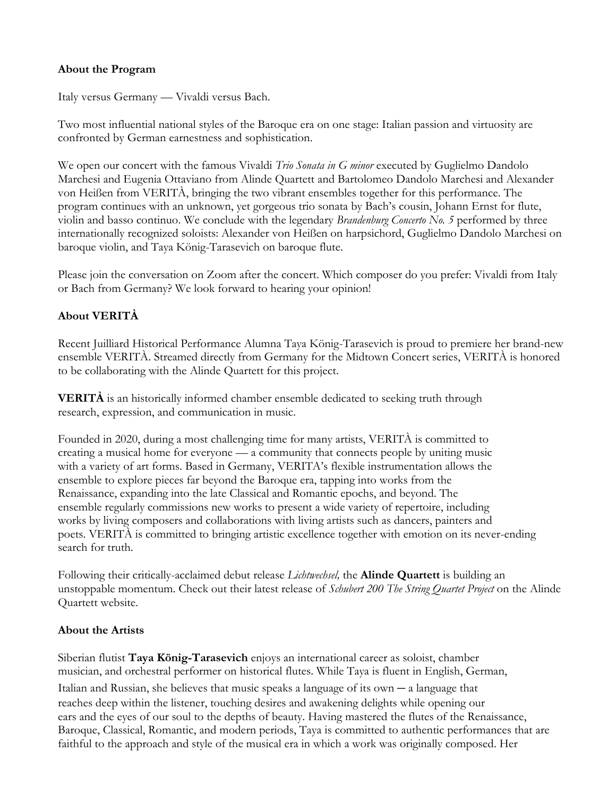#### **About the Program**

Italy versus Germany — Vivaldi versus Bach.

Two most influential national styles of the Baroque era on one stage: Italian passion and virtuosity are confronted by German earnestness and sophistication.

We open our concert with the famous Vivaldi *Trio Sonata in G minor* executed by Guglielmo Dandolo Marchesi and Eugenia Ottaviano from Alinde Quartett and Bartolomeo Dandolo Marchesi and Alexander von Heißen from VERITÀ, bringing the two vibrant ensembles together for this performance. The program continues with an unknown, yet gorgeous trio sonata by Bach's cousin, Johann Ernst for flute, violin and basso continuo. We conclude with the legendary *Brandenburg Concerto No. 5* performed by three internationally recognized soloists: Alexander von Heißen on harpsichord, Guglielmo Dandolo Marchesi on baroque violin, and Taya König-Tarasevich on baroque flute.

Please join the conversation on Zoom after the concert. Which composer do you prefer: Vivaldi from Italy or Bach from Germany? We look forward to hearing your opinion!

#### **About VERITÀ**

Recent Juilliard Historical Performance Alumna Taya König-Tarasevich is proud to premiere her brand-new ensemble VERITÀ. Streamed directly from Germany for the Midtown Concert series, VERITÀ is honored to be collaborating with the Alinde Quartett for this project.

**VERITÀ** is an historically informed chamber ensemble dedicated to seeking truth through research, expression, and communication in music.

Founded in 2020, during a most challenging time for many artists, VERITÀ is committed to creating a musical home for everyone — a community that connects people by uniting music with a variety of art forms. Based in Germany, VERITA's flexible instrumentation allows the ensemble to explore pieces far beyond the Baroque era, tapping into works from the Renaissance, expanding into the late Classical and Romantic epochs, and beyond. The ensemble regularly commissions new works to present a wide variety of repertoire, including works by living composers and collaborations with living artists such as dancers, painters and poets. VERITÀ is committed to bringing artistic excellence together with emotion on its never-ending search for truth.

Following their critically-acclaimed debut release *Lichtwechsel,* the **Alinde Quartett** is building an unstoppable momentum. Check out their latest release of *Schubert 200 The String Quartet Project* on the Alinde Quartett website.

#### **About the Artists**

Siberian flutist **Taya König-Tarasevich** enjoys an international career as soloist, chamber musician, and orchestral performer on historical flutes. While Taya is fluent in English, German,

Italian and Russian, she believes that music speaks a language of its own *–* a language that reaches deep within the listener, touching desires and awakening delights while opening our ears and the eyes of our soul to the depths of beauty. Having mastered the flutes of the Renaissance, Baroque, Classical, Romantic, and modern periods, Taya is committed to authentic performances that are faithful to the approach and style of the musical era in which a work was originally composed. Her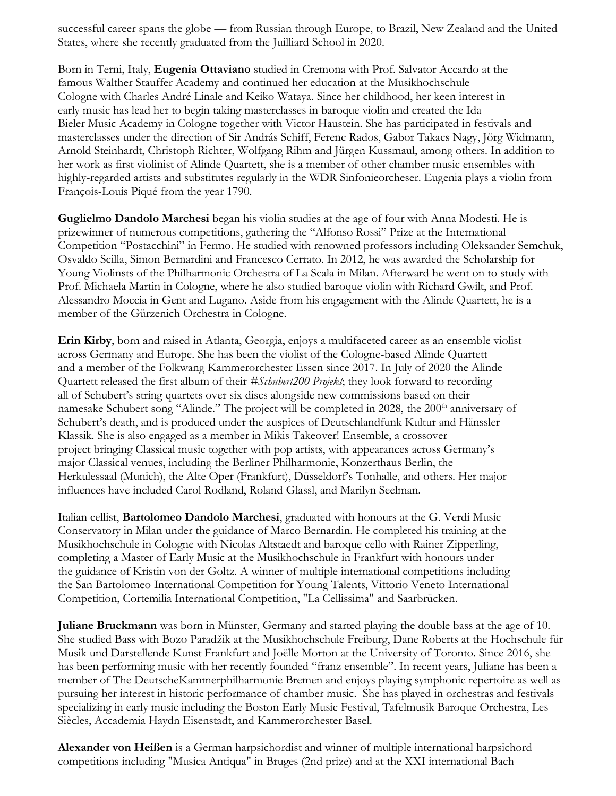successful career spans the globe — from Russian through Europe, to Brazil, New Zealand and the United States, where she recently graduated from the Juilliard School in 2020.

Born in Terni, Italy, **Eugenia Ottaviano** studied in Cremona with Prof. Salvator Accardo at the famous Walther Stauffer Academy and continued her education at the Musikhochschule Cologne with Charles André Linale and Keiko Wataya. Since her childhood, her keen interest in early music has lead her to begin taking masterclasses in baroque violin and created the Ida Bieler Music Academy in Cologne together with Victor Haustein. She has participated in festivals and masterclasses under the direction of Sir András Schiff, Ferenc Rados, Gabor Takacs Nagy, Jörg Widmann, Arnold Steinhardt, Christoph Richter, Wolfgang Rihm and Jürgen Kussmaul, among others. In addition to her work as first violinist of Alinde Quartett, she is a member of other chamber music ensembles with highly-regarded artists and substitutes regularly in the WDR Sinfonieorcheser. Eugenia plays a violin from François-Louis Piqué from the year 1790.

**Guglielmo Dandolo Marchesi** began his violin studies at the age of four with Anna Modesti. He is prizewinner of numerous competitions, gathering the "Alfonso Rossi" Prize at the International Competition "Postacchini" in Fermo. He studied with renowned professors including Oleksander Semchuk, Osvaldo Scilla, Simon Bernardini and Francesco Cerrato. In 2012, he was awarded the Scholarship for Young Violinsts of the Philharmonic Orchestra of La Scala in Milan. Afterward he went on to study with Prof. Michaela Martin in Cologne, where he also studied baroque violin with Richard Gwilt, and Prof. Alessandro Moccia in Gent and Lugano. Aside from his engagement with the Alinde Quartett, he is a member of the Gürzenich Orchestra in Cologne.

**Erin Kirby**, born and raised in Atlanta, Georgia, enjoys a multifaceted career as an ensemble violist across Germany and Europe. She has been the violist of the Cologne-based Alinde Quartett and a member of the Folkwang Kammerorchester Essen since 2017. In July of 2020 the Alinde Quartett released the first album of their *#Schubert200 Projekt*; they look forward to recording all of Schubert's string quartets over six discs alongside new commissions based on their namesake Schubert song "Alinde." The project will be completed in 2028, the 200<sup>th</sup> anniversary of Schubert's death, and is produced under the auspices of Deutschlandfunk Kultur and Hänssler Klassik. She is also engaged as a member in Mikis Takeover! Ensemble, a crossover project bringing Classical music together with pop artists, with appearances across Germany's major Classical venues, including the Berliner Philharmonie, Konzerthaus Berlin, the Herkulessaal (Munich), the Alte Oper (Frankfurt), Düsseldorf's Tonhalle, and others. Her major influences have included Carol Rodland, Roland Glassl, and Marilyn Seelman.

Italian cellist, **Bartolomeo Dandolo Marchesi**, graduated with honours at the G. Verdi Music Conservatory in Milan under the guidance of Marco Bernardin. He completed his training at the Musikhochschule in Cologne with Nicolas Altstaedt and baroque cello with Rainer Zipperling, completing a Master of Early Music at the Musikhochschule in Frankfurt with honours under the guidance of Kristin von der Goltz. A winner of multiple international competitions including the San Bartolomeo International Competition for Young Talents, Vittorio Veneto International Competition, Cortemilia International Competition, "La Cellissima" and Saarbrücken.

**Juliane Bruckmann** was born in Münster, Germany and started playing the double bass at the age of 10. She studied Bass with Bozo Paradžik at the Musikhochschule Freiburg, Dane Roberts at the Hochschule für Musik und Darstellende Kunst Frankfurt and Joёlle Morton at the University of Toronto. Since 2016, she has been performing music with her recently founded "franz ensemble". In recent years, Juliane has been a member of The DeutscheKammerphilharmonie Bremen and enjoys playing symphonic repertoire as well as pursuing her interest in historic performance of chamber music. She has played in orchestras and festivals specializing in early music including the Boston Early Music Festival, Tafelmusik Baroque Orchestra, Les Siècles, Accademia Haydn Eisenstadt, and Kammerorchester Basel.

**Alexander von Heißen** is a German harpsichordist and winner of multiple international harpsichord competitions including "Musica Antiqua" in Bruges (2nd prize) and at the XXI international Bach